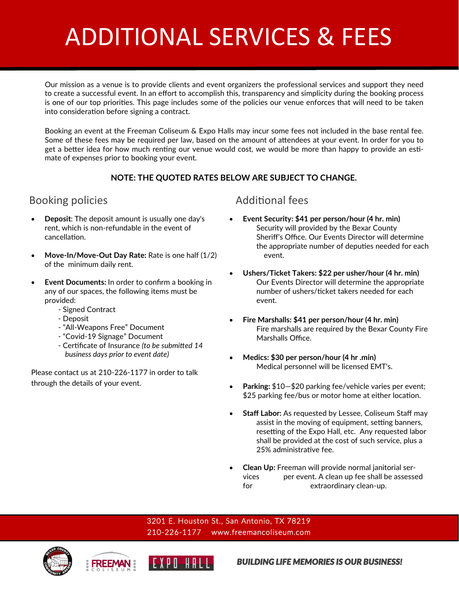# ADDITIONAL SERVICES & FEES

Our mission as a venue is to provide clients and event organizers the professional services and support they need to create a successful event. In an effort to accomplish this, transparency and simplicity during the booking process is one of our top priorities. This page includes some of the policies our venue enforces that will need to be taken into consideration before signing a contract.

Booking an event at the Freeman Coliseum & Expo Halls may incur some fees not included in the base rental fee. Some of these fees may be required per law, based on the amount of attendees at your event. In order for you to get a better idea for how much renting our venue would cost, we would be more than happy to provide an estimate of expenses prior to booking your event.

### **NOTE: THE QUOTED RATES BELOW ARE SUBJECT TO CHANGE.**

## Booking policies and a set of the Additional fees

- **Deposit**: The deposit amount is usually one day's rent, which is non-refundable in the event of cancellation.
- **Move-In/Move-Out Day Rate:** Rate is one half (1/2) of the minimum daily rent.
- **Event Documents:** In order to confirm a booking in any of our spaces, the following items must be provided:
	- Signed Contract
	- Deposit
	- "All-Weapons Free" Document
	- "Covid-19 Signage" Document
	- Certificate of Insurance *(to be submitted 14 business days prior to event date)*

Please contact us at 210-226-1177 in order to talk through the details of your event.

- **Event Security: \$41 per person/hour (4 hr. min)** Security will provided by the Bexar County Sheriff's Office. Our Events Director will determine the appropriate number of deputies needed for each event.
- **Ushers/Ticket Takers: \$22 per usher/hour (4 hr. min)** Our Events Director will determine the appropriate number of ushers/ticket takers needed for each event.
- **Fire Marshalls: \$41 per person/hour (4 hr. min)** Fire marshalls are required by the Bexar County Fire Marshalls Office.
- **Medics: \$30 per person/hour (4 hr .min)** Medical personnel will be licensed EMT's.
- **Parking:** \$10—\$20 parking fee/vehicle varies per event; \$25 parking fee/bus or motor home at either location.
- **Staff Labor:** As requested by Lessee, Coliseum Staff may assist in the moving of equipment, setting banners, resetting of the Expo Hall, etc. Any requested labor shall be provided at the cost of such service, plus a 25% administrative fee.
- **Clean Up:** Freeman will provide normal janitorial services per event. A clean up fee shall be assessed for extraordinary clean-up.

3201 E. Houston St., San Antonio, TX 78219 210-226-1177 www.freemancoliseum.com







*BUILDING LIFE MEMORIES IS OUR BUSINESS!*